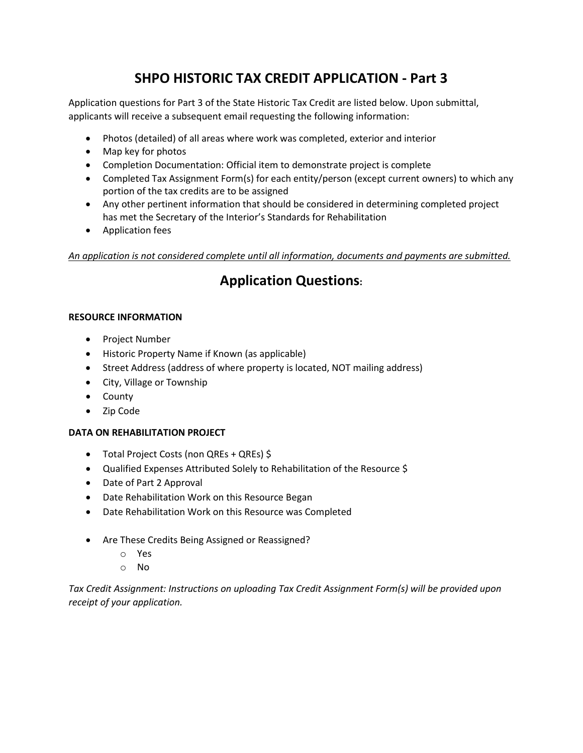# **SHPO HISTORIC TAX CREDIT APPLICATION - Part 3**

Application questions for Part 3 of the State Historic Tax Credit are listed below. Upon submittal, applicants will receive a subsequent email requesting the following information:

- Photos (detailed) of all areas where work was completed, exterior and interior
- Map key for photos
- Completion Documentation: Official item to demonstrate project is complete
- Completed Tax Assignment Form(s) for each entity/person (except current owners) to which any portion of the tax credits are to be assigned
- Any other pertinent information that should be considered in determining completed project has met the Secretary of the Interior's Standards for Rehabilitation
- Application fees

*An application is not considered complete until all information, documents and payments are submitted.* 

# **Application Questions:**

# **RESOURCE INFORMATION**

- Project Number
- Historic Property Name if Known (as applicable)
- Street Address (address of where property is located, NOT mailing address)
- City, Village or Township
- County
- Zip Code

# **DATA ON REHABILITATION PROJECT**

- Total Project Costs (non QREs + QREs) \$
- Qualified Expenses Attributed Solely to Rehabilitation of the Resource \$
- Date of Part 2 Approval
- Date Rehabilitation Work on this Resource Began
- Date Rehabilitation Work on this Resource was Completed
- Are These Credits Being Assigned or Reassigned?
	- o Yes
	- o No

*Tax Credit Assignment: Instructions on uploading Tax Credit Assignment Form(s) will be provided upon receipt of your application.*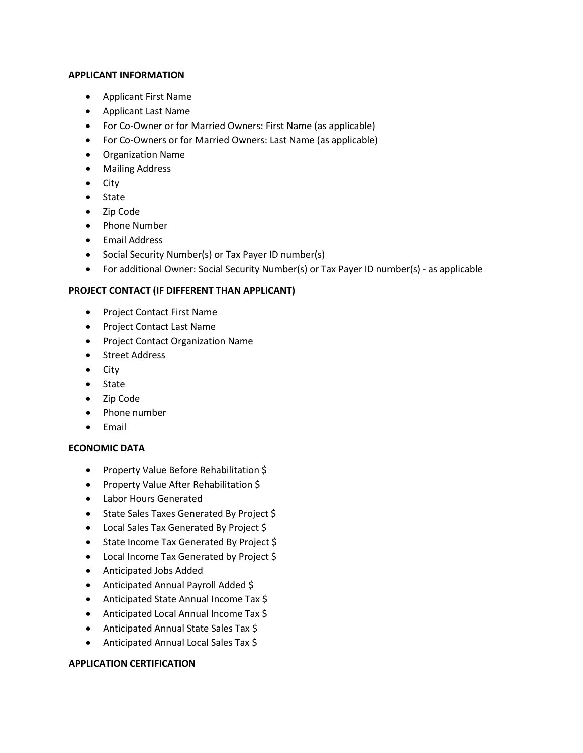#### **APPLICANT INFORMATION**

- Applicant First Name
- Applicant Last Name
- For Co-Owner or for Married Owners: First Name (as applicable)
- For Co-Owners or for Married Owners: Last Name (as applicable)
- Organization Name
- Mailing Address
- City
- State
- Zip Code
- Phone Number
- Email Address
- Social Security Number(s) or Tax Payer ID number(s)
- For additional Owner: Social Security Number(s) or Tax Payer ID number(s) as applicable

# **PROJECT CONTACT (IF DIFFERENT THAN APPLICANT)**

- Project Contact First Name
- Project Contact Last Name
- Project Contact Organization Name
- Street Address
- City
- State
- Zip Code
- Phone number
- Email

# **ECONOMIC DATA**

- Property Value Before Rehabilitation \$
- Property Value After Rehabilitation \$
- Labor Hours Generated
- State Sales Taxes Generated By Project \$
- Local Sales Tax Generated By Project \$
- State Income Tax Generated By Project \$
- Local Income Tax Generated by Project \$
- Anticipated Jobs Added
- Anticipated Annual Payroll Added \$
- Anticipated State Annual Income Tax \$
- Anticipated Local Annual Income Tax \$
- Anticipated Annual State Sales Tax \$
- Anticipated Annual Local Sales Tax \$

# **APPLICATION CERTIFICATION**